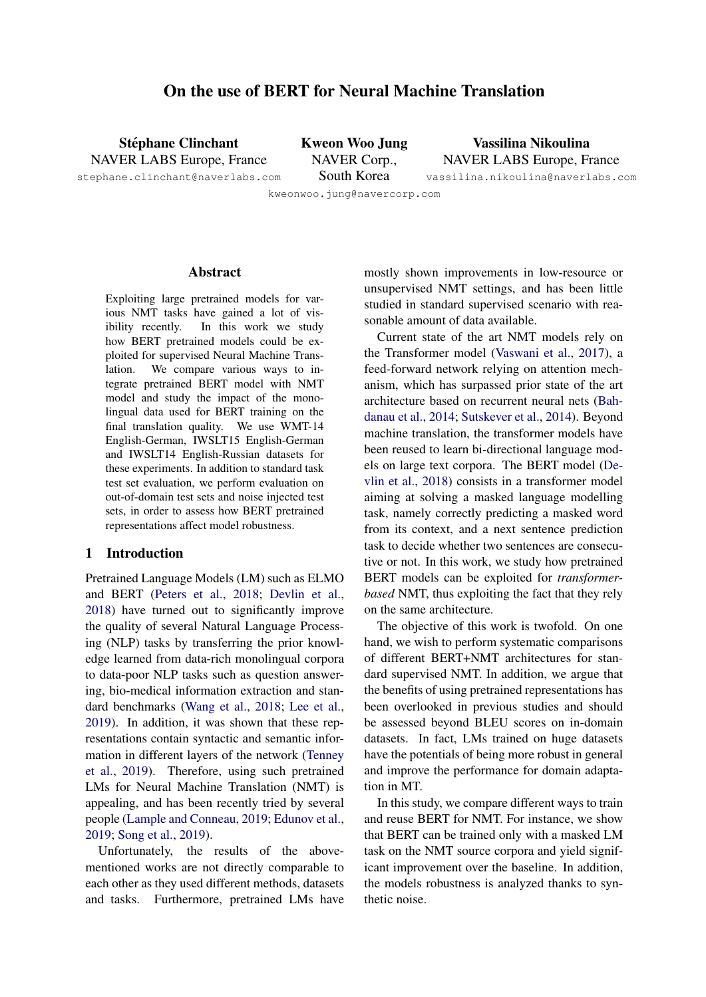# On the use of BERT for Neural Machine Translation

<span id="page-0-0"></span>Stéphane Clinchant NAVER LABS Europe, France Kweon Woo Jung NAVER Corp.,

Vassilina Nikoulina NAVER LABS Europe, France vassilina.nikoulina@naverlabs.com

stephane.clinchant@naverlabs.com

South Korea kweonwoo.jung@navercorp.com

# Abstract

Exploiting large pretrained models for various NMT tasks have gained a lot of visibility recently. In this work we study how BERT pretrained models could be exploited for supervised Neural Machine Translation. We compare various ways to integrate pretrained BERT model with NMT model and study the impact of the monolingual data used for BERT training on the final translation quality. We use WMT-14 English-German, IWSLT15 English-German and IWSLT14 English-Russian datasets for these experiments. In addition to standard task test set evaluation, we perform evaluation on out-of-domain test sets and noise injected test sets, in order to assess how BERT pretrained representations affect model robustness.

# 1 Introduction

Pretrained Language Models (LM) such as ELMO and BERT [\(Peters et al.,](#page-8-0) [2018;](#page-8-0) [Devlin et al.,](#page-8-1) [2018\)](#page-8-1) have turned out to significantly improve the quality of several Natural Language Processing (NLP) tasks by transferring the prior knowledge learned from data-rich monolingual corpora to data-poor NLP tasks such as question answering, bio-medical information extraction and standard benchmarks [\(Wang et al.,](#page-9-0) [2018;](#page-9-0) [Lee et al.,](#page-8-2) [2019\)](#page-8-2). In addition, it was shown that these representations contain syntactic and semantic information in different layers of the network [\(Tenney](#page-8-3) [et al.,](#page-8-3) [2019\)](#page-8-3). Therefore, using such pretrained LMs for Neural Machine Translation (NMT) is appealing, and has been recently tried by several people [\(Lample and Conneau,](#page-8-4) [2019;](#page-8-4) [Edunov et al.,](#page-8-5) [2019;](#page-8-5) [Song et al.,](#page-8-6) [2019\)](#page-8-6).

Unfortunately, the results of the abovementioned works are not directly comparable to each other as they used different methods, datasets and tasks. Furthermore, pretrained LMs have

mostly shown improvements in low-resource or unsupervised NMT settings, and has been little studied in standard supervised scenario with reasonable amount of data available.

Current state of the art NMT models rely on the Transformer model [\(Vaswani et al.,](#page-9-1) [2017\)](#page-9-1), a feed-forward network relying on attention mechanism, which has surpassed prior state of the art architecture based on recurrent neural nets [\(Bah](#page-8-7)[danau et al.,](#page-8-7) [2014;](#page-8-7) [Sutskever et al.,](#page-8-8) [2014\)](#page-8-8). Beyond machine translation, the transformer models have been reused to learn bi-directional language models on large text corpora. The BERT model [\(De](#page-8-1)[vlin et al.,](#page-8-1) [2018\)](#page-8-1) consists in a transformer model aiming at solving a masked language modelling task, namely correctly predicting a masked word from its context, and a next sentence prediction task to decide whether two sentences are consecutive or not. In this work, we study how pretrained BERT models can be exploited for *transformerbased* NMT, thus exploiting the fact that they rely on the same architecture.

The objective of this work is twofold. On one hand, we wish to perform systematic comparisons of different BERT+NMT architectures for standard supervised NMT. In addition, we argue that the benefits of using pretrained representations has been overlooked in previous studies and should be assessed beyond BLEU scores on in-domain datasets. In fact, LMs trained on huge datasets have the potentials of being more robust in general and improve the performance for domain adaptation in MT.

In this study, we compare different ways to train and reuse BERT for NMT. For instance, we show that BERT can be trained only with a masked LM task on the NMT source corpora and yield significant improvement over the baseline. In addition, the models robustness is analyzed thanks to synthetic noise.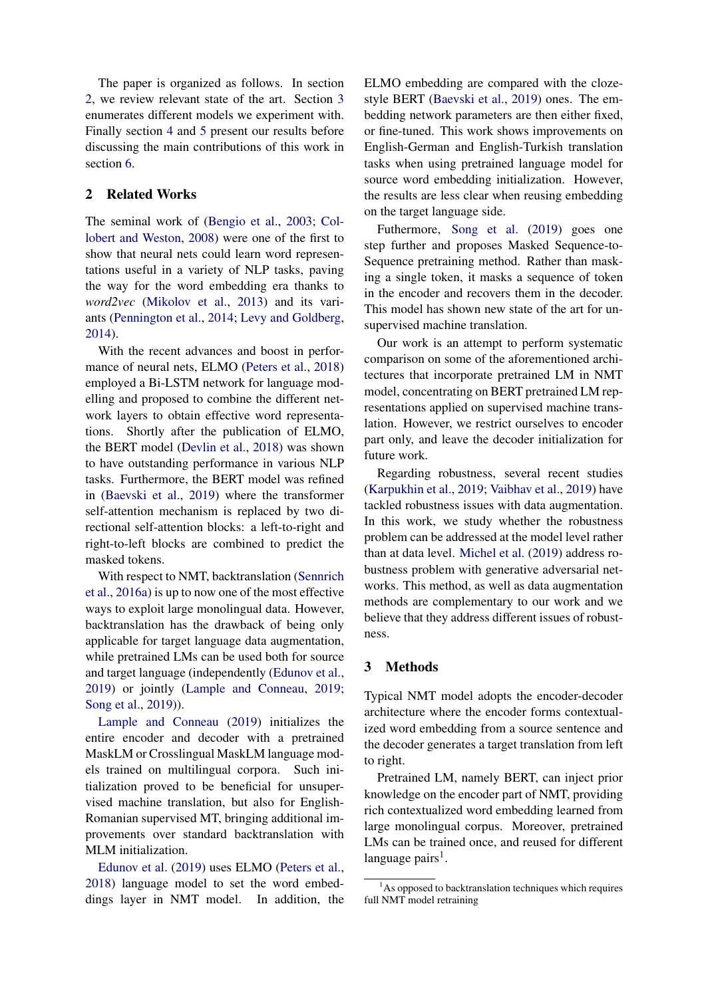The paper is organized as follows. In section [2,](#page-1-0) we review relevant state of the art. Section [3](#page-1-1) enumerates different models we experiment with. Finally section [4](#page-2-0) and [5](#page-5-0) present our results before discussing the main contributions of this work in section [6.](#page-6-0)

# <span id="page-1-0"></span>2 Related Works

The seminal work of [\(Bengio et al.,](#page-8-9) [2003;](#page-8-9) [Col](#page-8-10)[lobert and Weston,](#page-8-10) [2008\)](#page-8-10) were one of the first to show that neural nets could learn word representations useful in a variety of NLP tasks, paving the way for the word embedding era thanks to *word2vec* [\(Mikolov et al.,](#page-8-11) [2013\)](#page-8-11) and its variants [\(Pennington et al.,](#page-8-12) [2014;](#page-8-12) [Levy and Goldberg,](#page-8-13) [2014\)](#page-8-13).

With the recent advances and boost in performance of neural nets, ELMO [\(Peters et al.,](#page-8-0) [2018\)](#page-8-0) employed a Bi-LSTM network for language modelling and proposed to combine the different network layers to obtain effective word representations. Shortly after the publication of ELMO, the BERT model [\(Devlin et al.,](#page-8-1) [2018\)](#page-8-1) was shown to have outstanding performance in various NLP tasks. Furthermore, the BERT model was refined in [\(Baevski et al.,](#page-8-14) [2019\)](#page-8-14) where the transformer self-attention mechanism is replaced by two directional self-attention blocks: a left-to-right and right-to-left blocks are combined to predict the masked tokens.

With respect to NMT, backtranslation [\(Sennrich](#page-8-15) [et al.,](#page-8-15) [2016a\)](#page-8-15) is up to now one of the most effective ways to exploit large monolingual data. However, backtranslation has the drawback of being only applicable for target language data augmentation, while pretrained LMs can be used both for source and target language (independently [\(Edunov et al.,](#page-8-5) [2019\)](#page-8-5) or jointly [\(Lample and Conneau,](#page-8-4) [2019;](#page-8-4) [Song et al.,](#page-8-6) [2019\)](#page-8-6)).

[Lample and Conneau](#page-8-4) [\(2019\)](#page-8-4) initializes the entire encoder and decoder with a pretrained MaskLM or Crosslingual MaskLM language models trained on multilingual corpora. Such initialization proved to be beneficial for unsupervised machine translation, but also for English-Romanian supervised MT, bringing additional improvements over standard backtranslation with MLM initialization.

[Edunov et al.](#page-8-5) [\(2019\)](#page-8-5) uses ELMO [\(Peters et al.,](#page-8-0) [2018\)](#page-8-0) language model to set the word embeddings layer in NMT model. In addition, the

ELMO embedding are compared with the clozestyle BERT [\(Baevski et al.,](#page-8-14) [2019\)](#page-8-14) ones. The embedding network parameters are then either fixed, or fine-tuned. This work shows improvements on English-German and English-Turkish translation tasks when using pretrained language model for source word embedding initialization. However, the results are less clear when reusing embedding on the target language side.

Futhermore, [Song et al.](#page-8-6) [\(2019\)](#page-8-6) goes one step further and proposes Masked Sequence-to-Sequence pretraining method. Rather than masking a single token, it masks a sequence of token in the encoder and recovers them in the decoder. This model has shown new state of the art for unsupervised machine translation.

Our work is an attempt to perform systematic comparison on some of the aforementioned architectures that incorporate pretrained LM in NMT model, concentrating on BERT pretrained LM representations applied on supervised machine translation. However, we restrict ourselves to encoder part only, and leave the decoder initialization for future work.

Regarding robustness, several recent studies [\(Karpukhin et al.,](#page-8-16) [2019;](#page-8-16) [Vaibhav et al.,](#page-8-17) [2019\)](#page-8-17) have tackled robustness issues with data augmentation. In this work, we study whether the robustness problem can be addressed at the model level rather than at data level. [Michel et al.](#page-8-18) [\(2019\)](#page-8-18) address robustness problem with generative adversarial networks. This method, as well as data augmentation methods are complementary to our work and we believe that they address different issues of robustness.

# <span id="page-1-1"></span>3 Methods

Typical NMT model adopts the encoder-decoder architecture where the encoder forms contextualized word embedding from a source sentence and the decoder generates a target translation from left to right.

Pretrained LM, namely BERT, can inject prior knowledge on the encoder part of NMT, providing rich contextualized word embedding learned from large monolingual corpus. Moreover, pretrained LMs can be trained once, and reused for different language pairs<sup>[1](#page-1-2)</sup>.

<span id="page-1-2"></span> $<sup>1</sup>$ As opposed to backtranslation techniques which requires</sup> full NMT model retraining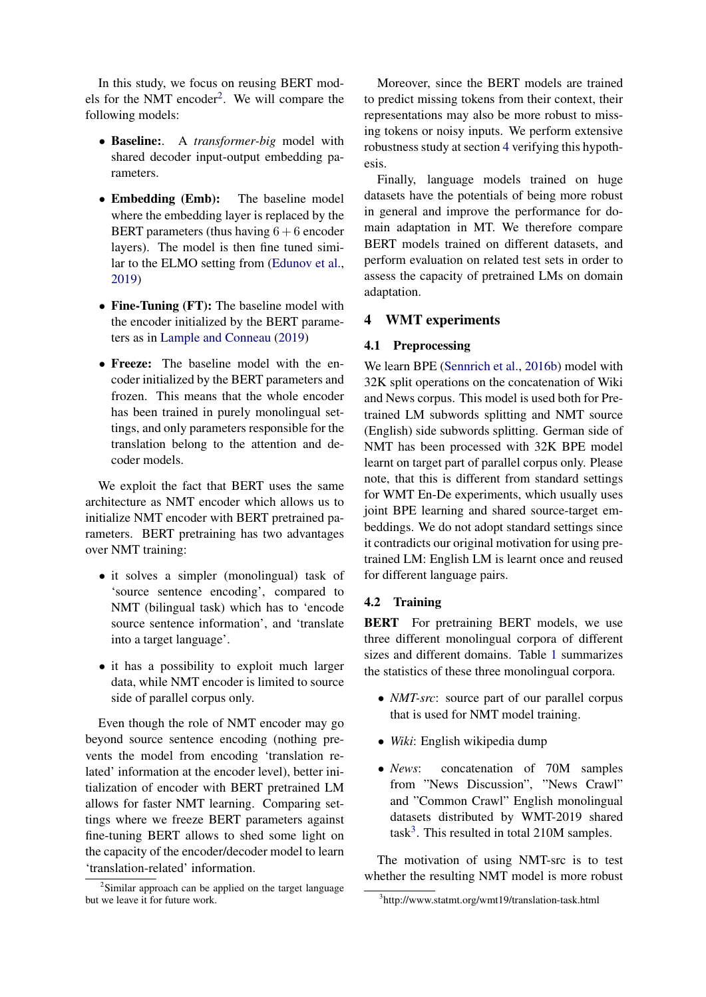In this study, we focus on reusing BERT mod-els for the NMT encoder<sup>[2](#page-2-1)</sup>. We will compare the following models:

- Baseline:. A *transformer-big* model with shared decoder input-output embedding parameters.
- Embedding (Emb): The baseline model where the embedding layer is replaced by the BERT parameters (thus having  $6 + 6$  encoder layers). The model is then fine tuned similar to the ELMO setting from [\(Edunov et al.,](#page-8-5) [2019\)](#page-8-5)
- Fine-Tuning (FT): The baseline model with the encoder initialized by the BERT parameters as in [Lample and Conneau](#page-8-4) [\(2019\)](#page-8-4)
- Freeze: The baseline model with the encoder initialized by the BERT parameters and frozen. This means that the whole encoder has been trained in purely monolingual settings, and only parameters responsible for the translation belong to the attention and decoder models.

We exploit the fact that BERT uses the same architecture as NMT encoder which allows us to initialize NMT encoder with BERT pretrained parameters. BERT pretraining has two advantages over NMT training:

- it solves a simpler (monolingual) task of 'source sentence encoding', compared to NMT (bilingual task) which has to 'encode source sentence information', and 'translate into a target language'.
- it has a possibility to exploit much larger data, while NMT encoder is limited to source side of parallel corpus only.

Even though the role of NMT encoder may go beyond source sentence encoding (nothing prevents the model from encoding 'translation related' information at the encoder level), better initialization of encoder with BERT pretrained LM allows for faster NMT learning. Comparing settings where we freeze BERT parameters against fine-tuning BERT allows to shed some light on the capacity of the encoder/decoder model to learn 'translation-related' information.

Moreover, since the BERT models are trained to predict missing tokens from their context, their representations may also be more robust to missing tokens or noisy inputs. We perform extensive robustness study at section [4](#page-2-0) verifying this hypothesis.

Finally, language models trained on huge datasets have the potentials of being more robust in general and improve the performance for domain adaptation in MT. We therefore compare BERT models trained on different datasets, and perform evaluation on related test sets in order to assess the capacity of pretrained LMs on domain adaptation.

# <span id="page-2-0"></span>4 WMT experiments

#### 4.1 Preprocessing

We learn BPE [\(Sennrich et al.,](#page-8-19) [2016b\)](#page-8-19) model with 32K split operations on the concatenation of Wiki and News corpus. This model is used both for Pretrained LM subwords splitting and NMT source (English) side subwords splitting. German side of NMT has been processed with 32K BPE model learnt on target part of parallel corpus only. Please note, that this is different from standard settings for WMT En-De experiments, which usually uses joint BPE learning and shared source-target embeddings. We do not adopt standard settings since it contradicts our original motivation for using pretrained LM: English LM is learnt once and reused for different language pairs.

## 4.2 Training

BERT For pretraining BERT models, we use three different monolingual corpora of different sizes and different domains. Table [1](#page-3-0) summarizes the statistics of these three monolingual corpora.

- *NMT-src*: source part of our parallel corpus that is used for NMT model training.
- *Wiki*: English wikipedia dump
- *News*: concatenation of 70M samples from "News Discussion", "News Crawl" and "Common Crawl" English monolingual datasets distributed by WMT-2019 shared task<sup>[3](#page-2-2)</sup>. This resulted in total 210M samples.

The motivation of using NMT-src is to test whether the resulting NMT model is more robust

<span id="page-2-1"></span><sup>&</sup>lt;sup>2</sup>Similar approach can be applied on the target language but we leave it for future work.

<span id="page-2-2"></span><sup>3</sup> http://www.statmt.org/wmt19/translation-task.html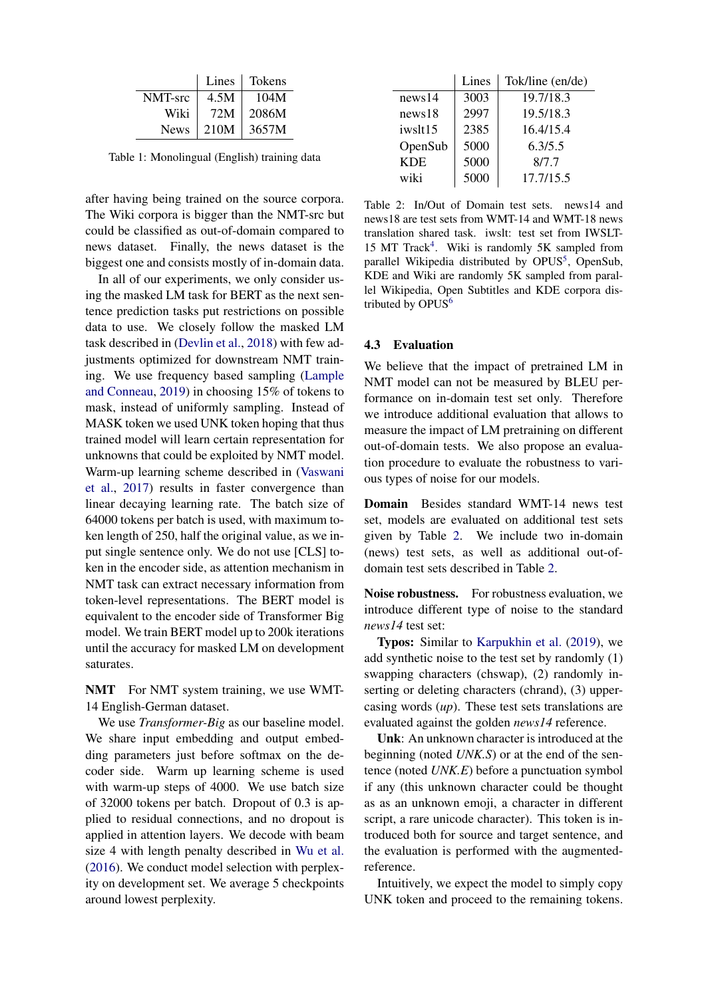<span id="page-3-0"></span>

|             | Lines | Tokens |
|-------------|-------|--------|
| NMT-src     | 4.5M  | 104M   |
| Wiki        | 72M   | 2086M  |
| <b>News</b> | 210M  | 3657M  |

Table 1: Monolingual (English) training data

after having being trained on the source corpora. The Wiki corpora is bigger than the NMT-src but could be classified as out-of-domain compared to news dataset. Finally, the news dataset is the biggest one and consists mostly of in-domain data.

In all of our experiments, we only consider using the masked LM task for BERT as the next sentence prediction tasks put restrictions on possible data to use. We closely follow the masked LM task described in [\(Devlin et al.,](#page-8-1) [2018\)](#page-8-1) with few adjustments optimized for downstream NMT training. We use frequency based sampling [\(Lample](#page-8-4) [and Conneau,](#page-8-4) [2019\)](#page-8-4) in choosing 15% of tokens to mask, instead of uniformly sampling. Instead of MASK token we used UNK token hoping that thus trained model will learn certain representation for unknowns that could be exploited by NMT model. Warm-up learning scheme described in [\(Vaswani](#page-9-1) [et al.,](#page-9-1) [2017\)](#page-9-1) results in faster convergence than linear decaying learning rate. The batch size of 64000 tokens per batch is used, with maximum token length of 250, half the original value, as we input single sentence only. We do not use [CLS] token in the encoder side, as attention mechanism in NMT task can extract necessary information from token-level representations. The BERT model is equivalent to the encoder side of Transformer Big model. We train BERT model up to 200k iterations until the accuracy for masked LM on development saturates.

NMT For NMT system training, we use WMT-14 English-German dataset.

We use *Transformer-Big* as our baseline model. We share input embedding and output embedding parameters just before softmax on the decoder side. Warm up learning scheme is used with warm-up steps of 4000. We use batch size of 32000 tokens per batch. Dropout of 0.3 is applied to residual connections, and no dropout is applied in attention layers. We decode with beam size 4 with length penalty described in [Wu et al.](#page-9-2) [\(2016\)](#page-9-2). We conduct model selection with perplexity on development set. We average 5 checkpoints around lowest perplexity.

<span id="page-3-1"></span>

|            | Lines | Tok/line (en/de) |
|------------|-------|------------------|
| news14     | 3003  | 19.7/18.3        |
| news18     | 2997  | 19.5/18.3        |
| iwslt15    | 2385  | 16.4/15.4        |
| OpenSub    | 5000  | 6.3/5.5          |
| <b>KDE</b> | 5000  | 8/7.7            |
| wiki       | 5000  | 17.7/15.5        |

Table 2: In/Out of Domain test sets. news14 and news18 are test sets from WMT-14 and WMT-18 news translation shared task. iwslt: test set from IWSLT-15 MT Track<sup>[4](#page-0-0)</sup>. Wiki is randomly 5K sampled from parallel Wikipedia distributed by OPUS<sup>[5](#page-0-0)</sup>, OpenSub, KDE and Wiki are randomly 5K sampled from parallel Wikipedia, Open Subtitles and KDE corpora distributed by  $OPUS^6$  $OPUS^6$ 

### <span id="page-3-2"></span>4.3 Evaluation

We believe that the impact of pretrained LM in NMT model can not be measured by BLEU performance on in-domain test set only. Therefore we introduce additional evaluation that allows to measure the impact of LM pretraining on different out-of-domain tests. We also propose an evaluation procedure to evaluate the robustness to various types of noise for our models.

Domain Besides standard WMT-14 news test set, models are evaluated on additional test sets given by Table [2.](#page-3-1) We include two in-domain (news) test sets, as well as additional out-ofdomain test sets described in Table [2.](#page-3-1)

Noise robustness. For robustness evaluation, we introduce different type of noise to the standard *news14* test set:

Typos: Similar to [Karpukhin et al.](#page-8-16) [\(2019\)](#page-8-16), we add synthetic noise to the test set by randomly (1) swapping characters (chswap), (2) randomly inserting or deleting characters (chrand), (3) uppercasing words (*up*). These test sets translations are evaluated against the golden *news14* reference.

Unk: An unknown character is introduced at the beginning (noted *UNK.S*) or at the end of the sentence (noted *UNK.E*) before a punctuation symbol if any (this unknown character could be thought as as an unknown emoji, a character in different script, a rare unicode character). This token is introduced both for source and target sentence, and the evaluation is performed with the augmentedreference.

Intuitively, we expect the model to simply copy UNK token and proceed to the remaining tokens.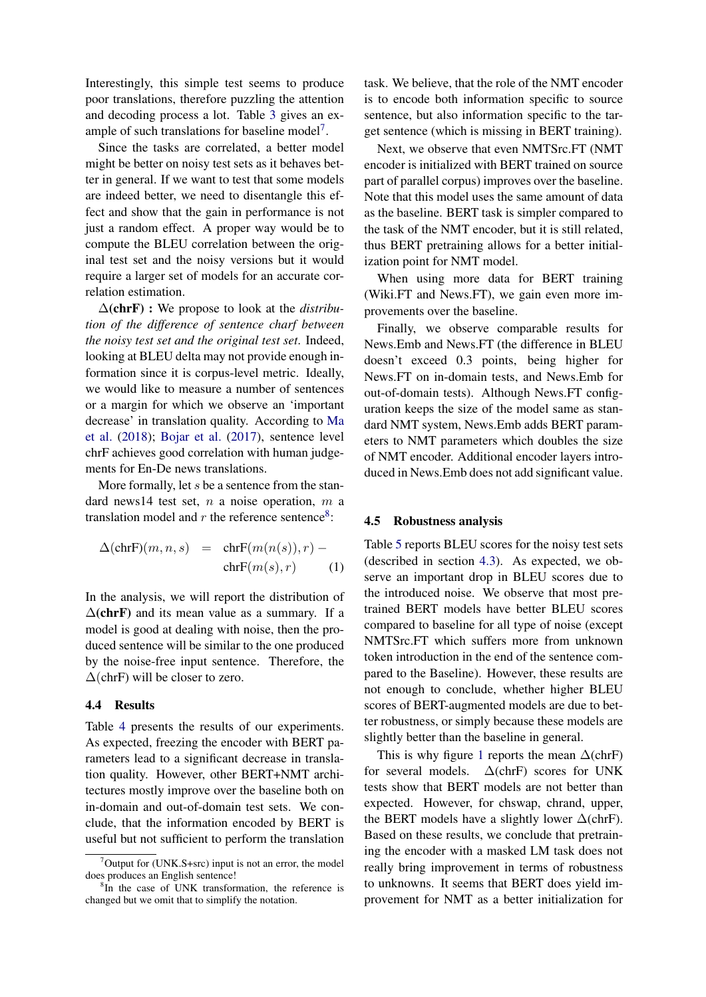Interestingly, this simple test seems to produce poor translations, therefore puzzling the attention and decoding process a lot. Table [3](#page-5-1) gives an ex-ample of such translations for baseline model<sup>[7](#page-4-0)</sup>.

Since the tasks are correlated, a better model might be better on noisy test sets as it behaves better in general. If we want to test that some models are indeed better, we need to disentangle this effect and show that the gain in performance is not just a random effect. A proper way would be to compute the BLEU correlation between the original test set and the noisy versions but it would require a larger set of models for an accurate correlation estimation.

∆(chrF) : We propose to look at the *distribution of the difference of sentence charf between the noisy test set and the original test set*. Indeed, looking at BLEU delta may not provide enough information since it is corpus-level metric. Ideally, we would like to measure a number of sentences or a margin for which we observe an 'important decrease' in translation quality. According to [Ma](#page-8-20) [et al.](#page-8-20) [\(2018\)](#page-8-20); [Bojar et al.](#page-8-21) [\(2017\)](#page-8-21), sentence level chrF achieves good correlation with human judgements for En-De news translations.

More formally, let  $s$  be a sentence from the standard news14 test set,  $n$  a noise operation,  $m$  a translation model and  $r$  the reference sentence<sup>[8](#page-4-1)</sup>:

$$
\Delta(\text{chrF})(m, n, s) = \text{chrF}(m(n(s)), r) - \text{chrF}(m(s), r)
$$
 (1)

In the analysis, we will report the distribution of  $\Delta$ (chrF) and its mean value as a summary. If a model is good at dealing with noise, then the produced sentence will be similar to the one produced by the noise-free input sentence. Therefore, the  $\Delta$ (chrF) will be closer to zero.

### 4.4 Results

Table [4](#page-5-2) presents the results of our experiments. As expected, freezing the encoder with BERT parameters lead to a significant decrease in translation quality. However, other BERT+NMT architectures mostly improve over the baseline both on in-domain and out-of-domain test sets. We conclude, that the information encoded by BERT is useful but not sufficient to perform the translation task. We believe, that the role of the NMT encoder is to encode both information specific to source sentence, but also information specific to the target sentence (which is missing in BERT training).

Next, we observe that even NMTSrc.FT (NMT encoder is initialized with BERT trained on source part of parallel corpus) improves over the baseline. Note that this model uses the same amount of data as the baseline. BERT task is simpler compared to the task of the NMT encoder, but it is still related, thus BERT pretraining allows for a better initialization point for NMT model.

When using more data for BERT training (Wiki.FT and News.FT), we gain even more improvements over the baseline.

Finally, we observe comparable results for News.Emb and News.FT (the difference in BLEU doesn't exceed 0.3 points, being higher for News.FT on in-domain tests, and News.Emb for out-of-domain tests). Although News.FT configuration keeps the size of the model same as standard NMT system, News.Emb adds BERT parameters to NMT parameters which doubles the size of NMT encoder. Additional encoder layers introduced in News.Emb does not add significant value.

#### 4.5 Robustness analysis

Table [5](#page-6-1) reports BLEU scores for the noisy test sets (described in section [4.3\)](#page-3-2). As expected, we observe an important drop in BLEU scores due to the introduced noise. We observe that most pretrained BERT models have better BLEU scores compared to baseline for all type of noise (except NMTSrc.FT which suffers more from unknown token introduction in the end of the sentence compared to the Baseline). However, these results are not enough to conclude, whether higher BLEU scores of BERT-augmented models are due to better robustness, or simply because these models are slightly better than the baseline in general.

This is why figure [1](#page-5-3) reports the mean  $\Delta$ (chrF) for several models.  $\Delta$ (chrF) scores for UNK tests show that BERT models are not better than expected. However, for chswap, chrand, upper, the BERT models have a slightly lower  $\Delta$ (chrF). Based on these results, we conclude that pretraining the encoder with a masked LM task does not really bring improvement in terms of robustness to unknowns. It seems that BERT does yield improvement for NMT as a better initialization for

<span id="page-4-0"></span> $7$ Output for (UNK.S+src) input is not an error, the model does produces an English sentence!

<span id="page-4-1"></span><sup>&</sup>lt;sup>8</sup>In the case of UNK transformation, the reference is changed but we omit that to simplify the notation.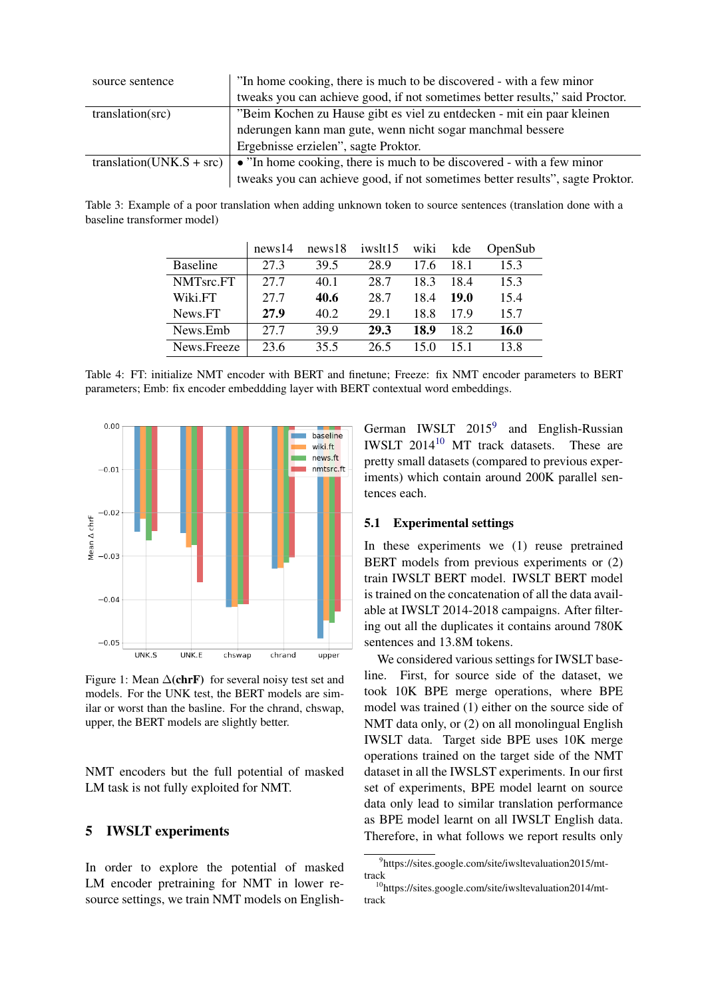<span id="page-5-1"></span>

| source sentence          | "In home cooking, there is much to be discovered - with a few minor           |
|--------------------------|-------------------------------------------------------------------------------|
|                          | tweaks you can achieve good, if not sometimes better results," said Proctor.  |
| translation(src)         | "Beim Kochen zu Hause gibt es viel zu entdecken - mit ein paar kleinen        |
|                          | nderungen kann man gute, wenn nicht sogar manchmal bessere                    |
|                          | Ergebnisse erzielen", sagte Proktor.                                          |
| translation(UNK.S + src) | • "In home cooking, there is much to be discovered - with a few minor         |
|                          | tweaks you can achieve good, if not sometimes better results", sagte Proktor. |

<span id="page-5-2"></span>Table 3: Example of a poor translation when adding unknown token to source sentences (translation done with a baseline transformer model)

|                 | news14 | news18 | iwslt15 | wiki | kde  | OpenSub     |
|-----------------|--------|--------|---------|------|------|-------------|
| <b>Baseline</b> | 27.3   | 39.5   | 28.9    | 17.6 | 18.1 | 15.3        |
| NMTsrc.FT       | 27.7   | 40.1   | 28.7    | 183  | 18.4 | 15.3        |
| Wiki.FT         | 27.7   | 40.6   | 28.7    | 18.4 | 19.0 | 15.4        |
| News.FT         | 27.9   | 40.2   | 29.1    | 18.8 | 179  | 15.7        |
| News.Emb        | 27.7   | 39.9   | 29.3    | 18.9 | 18.2 | <b>16.0</b> |
| News.Freeze     | 23.6   | 35.5   | 26.5    | 15 0 | 151  | 13.8        |

Table 4: FT: initialize NMT encoder with BERT and finetune; Freeze: fix NMT encoder parameters to BERT parameters; Emb: fix encoder embeddding layer with BERT contextual word embeddings.

<span id="page-5-3"></span>

Figure 1: Mean  $\Delta$ (chrF) for several noisy test set and models. For the UNK test, the BERT models are similar or worst than the basline. For the chrand, chswap, upper, the BERT models are slightly better.

NMT encoders but the full potential of masked LM task is not fully exploited for NMT.

# <span id="page-5-0"></span>5 IWSLT experiments

In order to explore the potential of masked LM encoder pretraining for NMT in lower resource settings, we train NMT models on English-

German IWSLT 2015<sup>[9](#page-5-4)</sup> and English-Russian IWSLT 2014[10](#page-5-5) MT track datasets. These are pretty small datasets (compared to previous experiments) which contain around 200K parallel sentences each.

# 5.1 Experimental settings

In these experiments we (1) reuse pretrained BERT models from previous experiments or  $(2)$ train IWSLT BERT model. IWSLT BERT model is trained on the concatenation of all the data available at IWSLT 2014-2018 campaigns. After filtering out all the duplicates it contains around 780K sentences and 13.8M tokens.

We considered various settings for IWSLT baseline. First, for source side of the dataset, we took 10K BPE merge operations, where BPE model was trained (1) either on the source side of NMT data only, or (2) on all monolingual English IWSLT data. Target side BPE uses 10K merge operations trained on the target side of the NMT dataset in all the IWSLST experiments. In our first set of experiments, BPE model learnt on source data only lead to similar translation performance as BPE model learnt on all IWSLT English data. Therefore, in what follows we report results only

<span id="page-5-4"></span><sup>9</sup> https://sites.google.com/site/iwsltevaluation2015/mttrack

<span id="page-5-5"></span><sup>10</sup>https://sites.google.com/site/iwsltevaluation2014/mttrack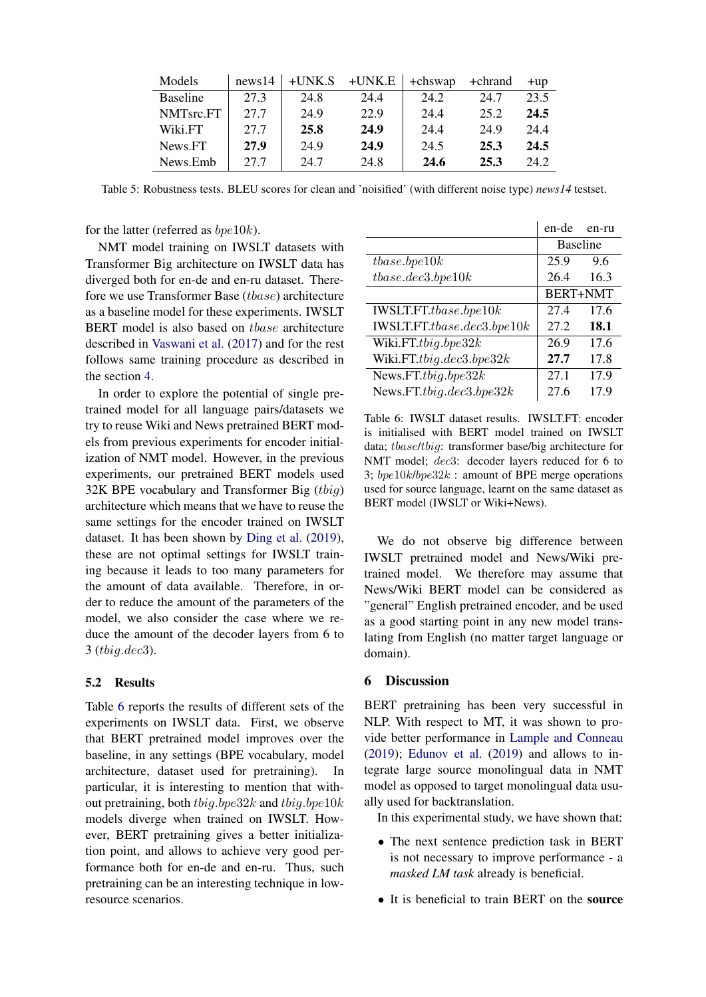<span id="page-6-1"></span>

| Models          | news14 | $+$ UNK.S | $+$ UNK.E | +chswap | +chrand | $+$ up |
|-----------------|--------|-----------|-----------|---------|---------|--------|
| <b>Baseline</b> | 27.3   | 24.8      | 24.4      | 24.2    | 24.7    | 23.5   |
| NMTsrc.FT       | 27.7   | 24.9      | 22.9      | 24.4    | 25.2    | 24.5   |
| Wiki.FT         | 27.7   | 25.8      | 24.9      | 24.4    | 24.9    | 24.4   |
| News.FT         | 27.9   | 24.9      | 24.9      | 24.5    | 25.3    | 24.5   |
| News.Emb        | 27.7   | 24.7      | 24.8      | 24.6    | 25.3    | 24.2   |

Table 5: Robustness tests. BLEU scores for clean and 'noisified' (with different noise type) *news14* testset.

for the latter (referred as  $bpe10k$ ).

NMT model training on IWSLT datasets with Transformer Big architecture on IWSLT data has diverged both for en-de and en-ru dataset. Therefore we use Transformer Base (tbase) architecture as a baseline model for these experiments. IWSLT BERT model is also based on tbase architecture described in [Vaswani et al.](#page-9-1) [\(2017\)](#page-9-1) and for the rest follows same training procedure as described in the section [4.](#page-2-0)

In order to explore the potential of single pretrained model for all language pairs/datasets we try to reuse Wiki and News pretrained BERT models from previous experiments for encoder initialization of NMT model. However, in the previous experiments, our pretrained BERT models used  $32K$  BPE vocabulary and Transformer Big (thig) architecture which means that we have to reuse the same settings for the encoder trained on IWSLT dataset. It has been shown by [Ding et al.](#page-8-22) [\(2019\)](#page-8-22), these are not optimal settings for IWSLT training because it leads to too many parameters for the amount of data available. Therefore, in order to reduce the amount of the parameters of the model, we also consider the case where we reduce the amount of the decoder layers from 6 to 3 (tbig.dec3).

#### 5.2 Results

Table [6](#page-6-2) reports the results of different sets of the experiments on IWSLT data. First, we observe that BERT pretrained model improves over the baseline, in any settings (BPE vocabulary, model architecture, dataset used for pretraining). In particular, it is interesting to mention that without pretraining, both  $tbiq.bpe32k$  and  $tbiq.bpe10k$ models diverge when trained on IWSLT. However, BERT pretraining gives a better initialization point, and allows to achieve very good performance both for en-de and en-ru. Thus, such pretraining can be an interesting technique in lowresource scenarios.

<span id="page-6-2"></span>

|                             | en-de           | en-ru |  |
|-----------------------------|-----------------|-------|--|
|                             | <b>Baseline</b> |       |  |
| those.bpe10k                | 25.9<br>9.6     |       |  |
| those. dec3. bpe10k         | 26.4            | 16.3  |  |
|                             | <b>BERT+NMT</b> |       |  |
|                             | 27.4<br>17.6    |       |  |
| IWSLT.FT.tbase.dec3.bpe10k  | 18.1<br>27.2    |       |  |
| Wiki.FT.tbig.bpe32 $k$      | 26.9            | 17.6  |  |
| Wiki.FT.tbig.dec3.bpe32 $k$ | 27.7            | 17.8  |  |
| News.FT.tbig.bpe32 $k$      | 27.1            | 17.9  |  |
| News.FT.tbig.dec3.bpe32 $k$ | 27.6            | 17.9  |  |

Table 6: IWSLT dataset results. IWSLT.FT: encoder is initialised with BERT model trained on IWSLT data; tbase/tbig: transformer base/big architecture for NMT model; dec3: decoder layers reduced for 6 to 3;  $bpe10k/bpe32k$ : amount of BPE merge operations used for source language, learnt on the same dataset as BERT model (IWSLT or Wiki+News).

We do not observe big difference between IWSLT pretrained model and News/Wiki pretrained model. We therefore may assume that News/Wiki BERT model can be considered as "general" English pretrained encoder, and be used as a good starting point in any new model translating from English (no matter target language or domain).

#### <span id="page-6-0"></span>6 Discussion

BERT pretraining has been very successful in NLP. With respect to MT, it was shown to provide better performance in [Lample and Conneau](#page-8-4)  $(2019)$ ; [Edunov et al.](#page-8-5)  $(2019)$  and allows to integrate large source monolingual data in NMT model as opposed to target monolingual data usually used for backtranslation.

In this experimental study, we have shown that:

- The next sentence prediction task in BERT is not necessary to improve performance - a *masked LM task* already is beneficial.
- It is beneficial to train BERT on the source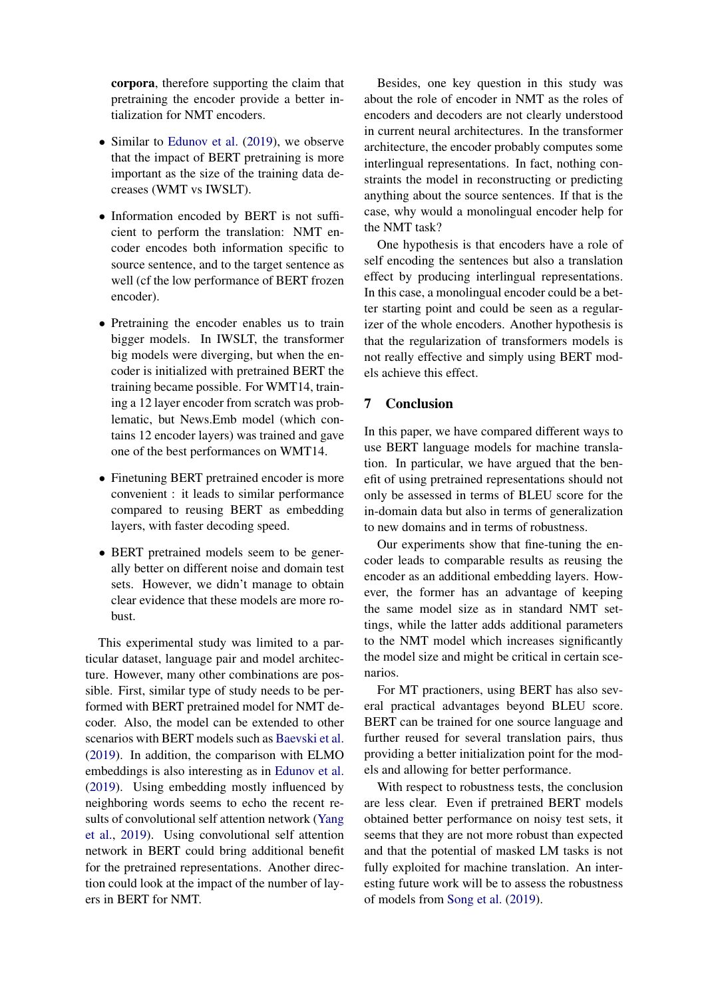corpora, therefore supporting the claim that pretraining the encoder provide a better intialization for NMT encoders.

- Similar to [Edunov et al.](#page-8-5) [\(2019\)](#page-8-5), we observe that the impact of BERT pretraining is more important as the size of the training data decreases (WMT vs IWSLT).
- Information encoded by BERT is not sufficient to perform the translation: NMT encoder encodes both information specific to source sentence, and to the target sentence as well (cf the low performance of BERT frozen encoder).
- Pretraining the encoder enables us to train bigger models. In IWSLT, the transformer big models were diverging, but when the encoder is initialized with pretrained BERT the training became possible. For WMT14, training a 12 layer encoder from scratch was problematic, but News.Emb model (which contains 12 encoder layers) was trained and gave one of the best performances on WMT14.
- Finetuning BERT pretrained encoder is more convenient : it leads to similar performance compared to reusing BERT as embedding layers, with faster decoding speed.
- BERT pretrained models seem to be generally better on different noise and domain test sets. However, we didn't manage to obtain clear evidence that these models are more robust.

This experimental study was limited to a particular dataset, language pair and model architecture. However, many other combinations are possible. First, similar type of study needs to be performed with BERT pretrained model for NMT decoder. Also, the model can be extended to other scenarios with BERT models such as [Baevski et al.](#page-8-14) [\(2019\)](#page-8-14). In addition, the comparison with ELMO embeddings is also interesting as in [Edunov et al.](#page-8-5) [\(2019\)](#page-8-5). Using embedding mostly influenced by neighboring words seems to echo the recent results of convolutional self attention network [\(Yang](#page-9-3) [et al.,](#page-9-3) [2019\)](#page-9-3). Using convolutional self attention network in BERT could bring additional benefit for the pretrained representations. Another direction could look at the impact of the number of layers in BERT for NMT.

Besides, one key question in this study was about the role of encoder in NMT as the roles of encoders and decoders are not clearly understood in current neural architectures. In the transformer architecture, the encoder probably computes some interlingual representations. In fact, nothing constraints the model in reconstructing or predicting anything about the source sentences. If that is the case, why would a monolingual encoder help for the NMT task?

One hypothesis is that encoders have a role of self encoding the sentences but also a translation effect by producing interlingual representations. In this case, a monolingual encoder could be a better starting point and could be seen as a regularizer of the whole encoders. Another hypothesis is that the regularization of transformers models is not really effective and simply using BERT models achieve this effect.

# 7 Conclusion

In this paper, we have compared different ways to use BERT language models for machine translation. In particular, we have argued that the benefit of using pretrained representations should not only be assessed in terms of BLEU score for the in-domain data but also in terms of generalization to new domains and in terms of robustness.

Our experiments show that fine-tuning the encoder leads to comparable results as reusing the encoder as an additional embedding layers. However, the former has an advantage of keeping the same model size as in standard NMT settings, while the latter adds additional parameters to the NMT model which increases significantly the model size and might be critical in certain scenarios.

For MT practioners, using BERT has also several practical advantages beyond BLEU score. BERT can be trained for one source language and further reused for several translation pairs, thus providing a better initialization point for the models and allowing for better performance.

With respect to robustness tests, the conclusion are less clear. Even if pretrained BERT models obtained better performance on noisy test sets, it seems that they are not more robust than expected and that the potential of masked LM tasks is not fully exploited for machine translation. An interesting future work will be to assess the robustness of models from [Song et al.](#page-8-6) [\(2019\)](#page-8-6).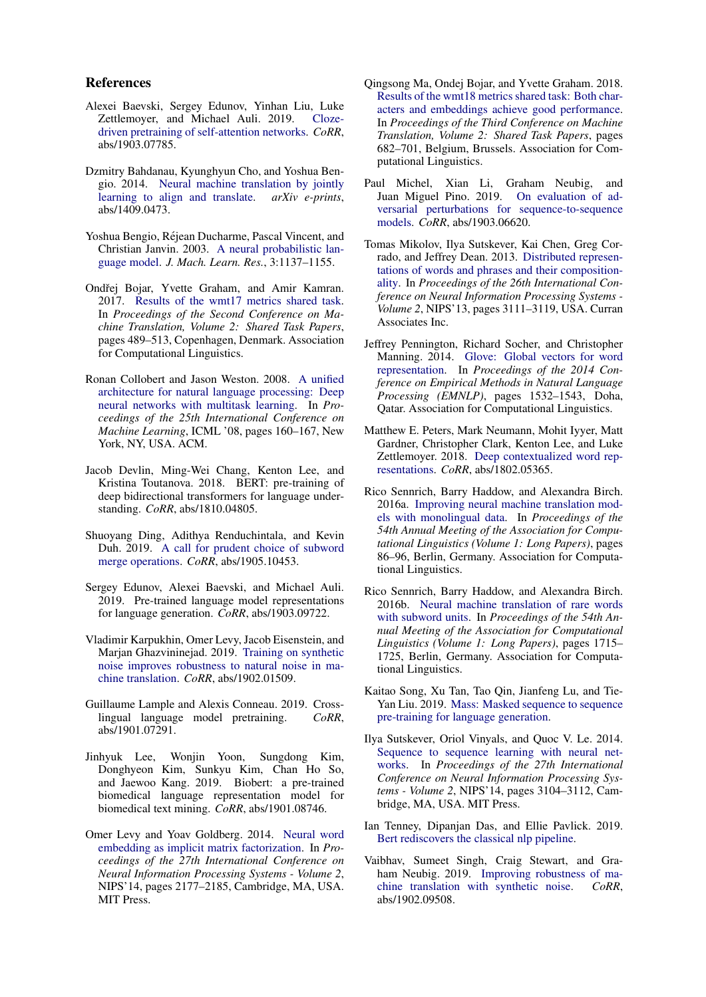### References

- <span id="page-8-14"></span>Alexei Baevski, Sergey Edunov, Yinhan Liu, Luke Zettlemoyer, and Michael Auli. 2019. [Cloze](http://arxiv.org/abs/1903.07785)[driven pretraining of self-attention networks.](http://arxiv.org/abs/1903.07785) *CoRR*, abs/1903.07785.
- <span id="page-8-7"></span>Dzmitry Bahdanau, Kyunghyun Cho, and Yoshua Bengio. 2014. [Neural machine translation by jointly](https://arxiv.org/abs/1409.0473) [learning to align and translate.](https://arxiv.org/abs/1409.0473) *arXiv e-prints*, abs/1409.0473.
- <span id="page-8-9"></span>Yoshua Bengio, Rejean Ducharme, Pascal Vincent, and ´ Christian Janvin. 2003. [A neural probabilistic lan](http://dl.acm.org/citation.cfm?id=944919.944966)[guage model.](http://dl.acm.org/citation.cfm?id=944919.944966) *J. Mach. Learn. Res.*, 3:1137–1155.
- <span id="page-8-21"></span>Ondřej Bojar, Yvette Graham, and Amir Kamran. 2017. [Results of the wmt17 metrics shared task.](http://www.aclweb.org/anthology/W17-4755) In *Proceedings of the Second Conference on Machine Translation, Volume 2: Shared Task Papers*, pages 489–513, Copenhagen, Denmark. Association for Computational Linguistics.
- <span id="page-8-10"></span>Ronan Collobert and Jason Weston. 2008. [A unified](https://doi.org/10.1145/1390156.1390177) [architecture for natural language processing: Deep](https://doi.org/10.1145/1390156.1390177) [neural networks with multitask learning.](https://doi.org/10.1145/1390156.1390177) In *Proceedings of the 25th International Conference on Machine Learning*, ICML '08, pages 160–167, New York, NY, USA. ACM.
- <span id="page-8-1"></span>Jacob Devlin, Ming-Wei Chang, Kenton Lee, and Kristina Toutanova. 2018. BERT: pre-training of deep bidirectional transformers for language understanding. *CoRR*, abs/1810.04805.
- <span id="page-8-22"></span>Shuoyang Ding, Adithya Renduchintala, and Kevin Duh. 2019. [A call for prudent choice of subword](http://arxiv.org/abs/1905.10453) [merge operations.](http://arxiv.org/abs/1905.10453) *CoRR*, abs/1905.10453.
- <span id="page-8-5"></span>Sergey Edunov, Alexei Baevski, and Michael Auli. 2019. Pre-trained language model representations for language generation. *CoRR*, abs/1903.09722.
- <span id="page-8-16"></span>Vladimir Karpukhin, Omer Levy, Jacob Eisenstein, and Marjan Ghazvininejad. 2019. [Training on synthetic](http://arxiv.org/abs/1902.01509) [noise improves robustness to natural noise in ma](http://arxiv.org/abs/1902.01509)[chine translation.](http://arxiv.org/abs/1902.01509) *CoRR*, abs/1902.01509.
- <span id="page-8-4"></span>Guillaume Lample and Alexis Conneau. 2019. Crosslingual language model pretraining. *CoRR*, abs/1901.07291.
- <span id="page-8-2"></span>Jinhyuk Lee, Wonjin Yoon, Sungdong Kim, Donghyeon Kim, Sunkyu Kim, Chan Ho So, and Jaewoo Kang. 2019. Biobert: a pre-trained biomedical language representation model for biomedical text mining. *CoRR*, abs/1901.08746.
- <span id="page-8-13"></span>Omer Levy and Yoav Goldberg. 2014. [Neural word](http://dl.acm.org/citation.cfm?id=2969033.2969070) [embedding as implicit matrix factorization.](http://dl.acm.org/citation.cfm?id=2969033.2969070) In *Proceedings of the 27th International Conference on Neural Information Processing Systems - Volume 2*, NIPS'14, pages 2177–2185, Cambridge, MA, USA. MIT Press.
- <span id="page-8-20"></span>Qingsong Ma, Ondej Bojar, and Yvette Graham. 2018. [Results of the wmt18 metrics shared task: Both char](http://www.aclweb.org/anthology/W18-6451)[acters and embeddings achieve good performance.](http://www.aclweb.org/anthology/W18-6451) In *Proceedings of the Third Conference on Machine Translation, Volume 2: Shared Task Papers*, pages 682–701, Belgium, Brussels. Association for Computational Linguistics.
- <span id="page-8-18"></span>Paul Michel, Xian Li, Graham Neubig, and Juan Miguel Pino. 2019. [On evaluation of ad](http://arxiv.org/abs/1903.06620)[versarial perturbations for sequence-to-sequence](http://arxiv.org/abs/1903.06620) [models.](http://arxiv.org/abs/1903.06620) *CoRR*, abs/1903.06620.
- <span id="page-8-11"></span>Tomas Mikolov, Ilya Sutskever, Kai Chen, Greg Corrado, and Jeffrey Dean. 2013. [Distributed represen](http://dl.acm.org/citation.cfm?id=2999792.2999959)[tations of words and phrases and their composition](http://dl.acm.org/citation.cfm?id=2999792.2999959)[ality.](http://dl.acm.org/citation.cfm?id=2999792.2999959) In *Proceedings of the 26th International Conference on Neural Information Processing Systems - Volume 2*, NIPS'13, pages 3111–3119, USA. Curran Associates Inc.
- <span id="page-8-12"></span>Jeffrey Pennington, Richard Socher, and Christopher Manning. 2014. [Glove: Global vectors for word](https://doi.org/10.3115/v1/D14-1162) [representation.](https://doi.org/10.3115/v1/D14-1162) In *Proceedings of the 2014 Conference on Empirical Methods in Natural Language Processing (EMNLP)*, pages 1532–1543, Doha, Qatar. Association for Computational Linguistics.
- <span id="page-8-0"></span>Matthew E. Peters, Mark Neumann, Mohit Iyyer, Matt Gardner, Christopher Clark, Kenton Lee, and Luke Zettlemoyer. 2018. [Deep contextualized word rep](http://arxiv.org/abs/1802.05365)[resentations.](http://arxiv.org/abs/1802.05365) *CoRR*, abs/1802.05365.
- <span id="page-8-15"></span>Rico Sennrich, Barry Haddow, and Alexandra Birch. 2016a. [Improving neural machine translation mod](https://doi.org/10.18653/v1/P16-1009)[els with monolingual data.](https://doi.org/10.18653/v1/P16-1009) In *Proceedings of the 54th Annual Meeting of the Association for Computational Linguistics (Volume 1: Long Papers)*, pages 86–96, Berlin, Germany. Association for Computational Linguistics.
- <span id="page-8-19"></span>Rico Sennrich, Barry Haddow, and Alexandra Birch. 2016b. [Neural machine translation of rare words](https://doi.org/10.18653/v1/P16-1162) [with subword units.](https://doi.org/10.18653/v1/P16-1162) In *Proceedings of the 54th Annual Meeting of the Association for Computational Linguistics (Volume 1: Long Papers)*, pages 1715– 1725, Berlin, Germany. Association for Computational Linguistics.
- <span id="page-8-6"></span>Kaitao Song, Xu Tan, Tao Qin, Jianfeng Lu, and Tie-Yan Liu. 2019. [Mass: Masked sequence to sequence](http://arxiv.org/abs/1905.02450) [pre-training for language generation.](http://arxiv.org/abs/1905.02450)
- <span id="page-8-8"></span>Ilya Sutskever, Oriol Vinyals, and Quoc V. Le. 2014. [Sequence to sequence learning with neural net](http://dl.acm.org/citation.cfm?id=2969033.2969173)[works.](http://dl.acm.org/citation.cfm?id=2969033.2969173) In *Proceedings of the 27th International Conference on Neural Information Processing Systems - Volume 2*, NIPS'14, pages 3104–3112, Cambridge, MA, USA. MIT Press.
- <span id="page-8-3"></span>Ian Tenney, Dipanjan Das, and Ellie Pavlick. 2019. [Bert rediscovers the classical nlp pipeline.](http://arxiv.org/abs/1905.05950)
- <span id="page-8-17"></span>Vaibhav, Sumeet Singh, Craig Stewart, and Graham Neubig. 2019. [Improving robustness of ma](http://arxiv.org/abs/1902.09508)[chine translation with synthetic noise.](http://arxiv.org/abs/1902.09508) *CoRR*, abs/1902.09508.